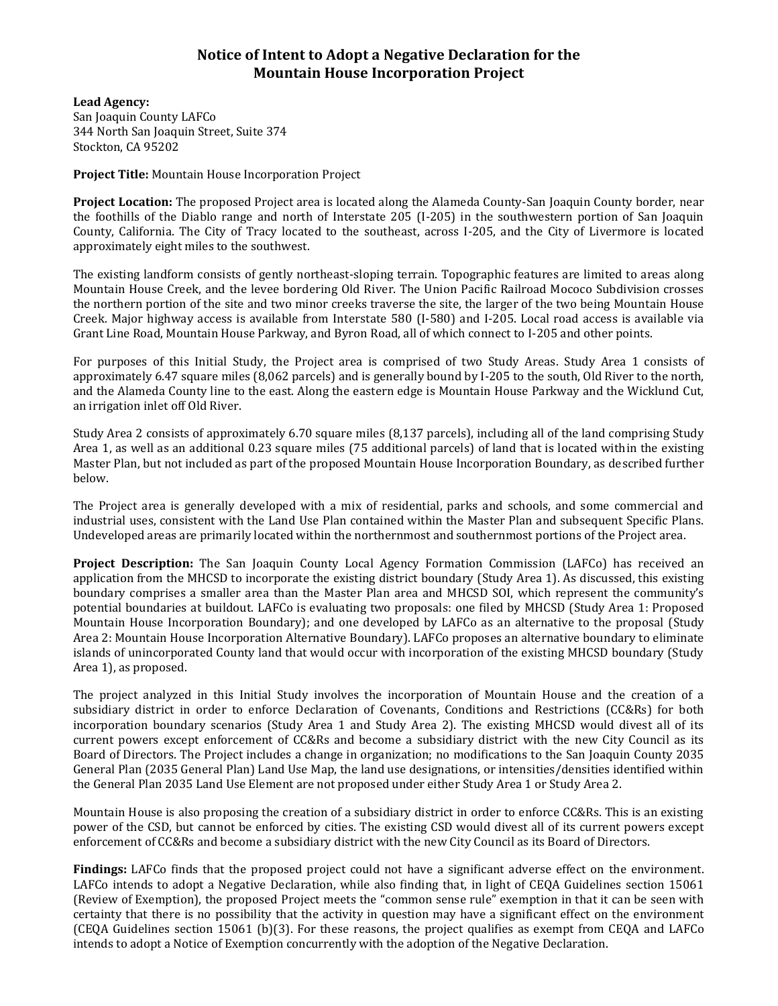## **Notice of Intent to Adopt a Negative Declaration for the Mountain House Incorporation Project**

**Lead Agency:** San Joaquin County LAFCo 344 North San Joaquin Street, Suite 374 Stockton, CA 95202

**Project Title:** Mountain House Incorporation Project

**Project Location:** The proposed Project area is located along the Alameda County-San Joaquin County border, near the foothills of the Diablo range and north of Interstate 205 (I-205) in the southwestern portion of San Joaquin County, California. The City of Tracy located to the southeast, across I-205, and the City of Livermore is located approximately eight miles to the southwest.

The existing landform consists of gently northeast-sloping terrain. Topographic features are limited to areas along Mountain House Creek, and the levee bordering Old River. The Union Pacific Railroad Mococo Subdivision crosses the northern portion of the site and two minor creeks traverse the site, the larger of the two being Mountain House Creek. Major highway access is available from Interstate 580 (I-580) and I-205. Local road access is available via Grant Line Road, Mountain House Parkway, and Byron Road, all of which connect to I-205 and other points.

For purposes of this Initial Study, the Project area is comprised of two Study Areas. Study Area 1 consists of approximately 6.47 square miles (8,062 parcels) and is generally bound by I-205 to the south, Old River to the north, and the Alameda County line to the east. Along the eastern edge is Mountain House Parkway and the Wicklund Cut, an irrigation inlet off Old River.

Study Area 2 consists of approximately 6.70 square miles (8,137 parcels), including all of the land comprising Study Area 1, as well as an additional 0.23 square miles (75 additional parcels) of land that is located within the existing Master Plan, but not included as part of the proposed Mountain House Incorporation Boundary, as described further below.

The Project area is generally developed with a mix of residential, parks and schools, and some commercial and industrial uses, consistent with the Land Use Plan contained within the Master Plan and subsequent Specific Plans. Undeveloped areas are primarily located within the northernmost and southernmost portions of the Project area.

**Project Description:** The San Joaquin County Local Agency Formation Commission (LAFCo) has received an application from the MHCSD to incorporate the existing district boundary (Study Area 1). As discussed, this existing boundary comprises a smaller area than the Master Plan area and MHCSD SOI, which represent the community's potential boundaries at buildout. LAFCo is evaluating two proposals: one filed by MHCSD (Study Area 1: Proposed Mountain House Incorporation Boundary); and one developed by LAFCo as an alternative to the proposal (Study Area 2: Mountain House Incorporation Alternative Boundary). LAFCo proposes an alternative boundary to eliminate islands of unincorporated County land that would occur with incorporation of the existing MHCSD boundary (Study Area 1), as proposed.

The project analyzed in this Initial Study involves the incorporation of Mountain House and the creation of a subsidiary district in order to enforce Declaration of Covenants, Conditions and Restrictions (CC&Rs) for both incorporation boundary scenarios (Study Area 1 and Study Area 2). The existing MHCSD would divest all of its current powers except enforcement of CC&Rs and become a subsidiary district with the new City Council as its Board of Directors. The Project includes a change in organization; no modifications to the San Joaquin County 2035 General Plan (2035 General Plan) Land Use Map, the land use designations, or intensities/densities identified within the General Plan 2035 Land Use Element are not proposed under either Study Area 1 or Study Area 2.

Mountain House is also proposing the creation of a subsidiary district in order to enforce CC&Rs. This is an existing power of the CSD, but cannot be enforced by cities. The existing CSD would divest all of its current powers except enforcement of CC&Rs and become a subsidiary district with the new City Council as its Board of Directors.

**Findings:** LAFCo finds that the proposed project could not have a significant adverse effect on the environment. LAFCo intends to adopt a Negative Declaration, while also finding that, in light of CEQA Guidelines section 15061 (Review of Exemption), the proposed Project meets the "common sense rule" exemption in that it can be seen with certainty that there is no possibility that the activity in question may have a significant effect on the environment (CEQA Guidelines section 15061 (b)(3). For these reasons, the project qualifies as exempt from CEQA and LAFCo intends to adopt a Notice of Exemption concurrently with the adoption of the Negative Declaration.